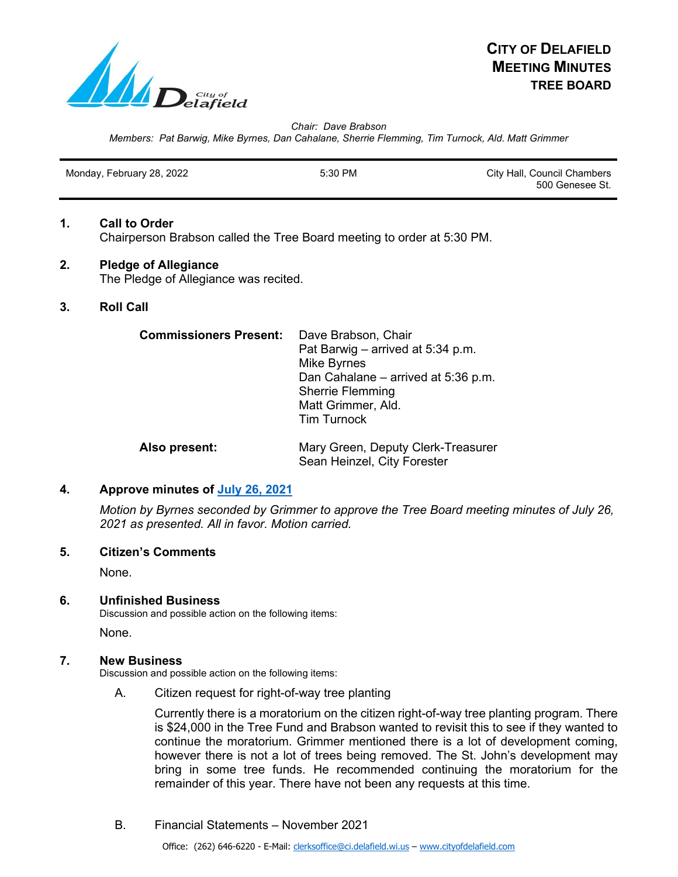

*Chair: Dave Brabson*

*Members: Pat Barwig, Mike Byrnes, Dan Cahalane, Sherrie Flemming, Tim Turnock, Ald. Matt Grimmer*

| Monday, February 28, 2022 | 5:30 PM | City Hall, Council Chambers |
|---------------------------|---------|-----------------------------|
|                           |         | 500 Genesee St.             |

# **1. Call to Order** Chairperson Brabson called the Tree Board meeting to order at 5:30 PM.

## **2. Pledge of Allegiance** The Pledge of Allegiance was recited.

**3. Roll Call**

| <b>Commissioners Present:</b> | Dave Brabson, Chair<br>Pat Barwig – arrived at 5:34 p.m.<br>Mike Byrnes<br>Dan Cahalane – arrived at 5:36 p.m.<br><b>Sherrie Flemming</b><br>Matt Grimmer, Ald.<br><b>Tim Turnock</b> |
|-------------------------------|---------------------------------------------------------------------------------------------------------------------------------------------------------------------------------------|
| Also present:                 | Mary Green, Deputy Clerk-Treasurer                                                                                                                                                    |

# **4. Approve minutes of [July 26, 2021](https://www.cityofdelafield.com/AgendaCenter/ViewFile/Minutes/_07262021-535)**

*Motion by Byrnes seconded by Grimmer to approve the Tree Board meeting minutes of July 26, 2021 as presented. All in favor. Motion carried.*

Sean Heinzel, City Forester

### **5. Citizen's Comments**

None.

### **6. Unfinished Business**

Discussion and possible action on the following items:

None.

### **7. New Business**

Discussion and possible action on the following items:

A. Citizen request for right-of-way tree planting

Currently there is a moratorium on the citizen right-of-way tree planting program. There is \$24,000 in the Tree Fund and Brabson wanted to revisit this to see if they wanted to continue the moratorium. Grimmer mentioned there is a lot of development coming, however there is not a lot of trees being removed. The St. John's development may bring in some tree funds. He recommended continuing the moratorium for the remainder of this year. There have not been any requests at this time.

B. Financial Statements – November 2021